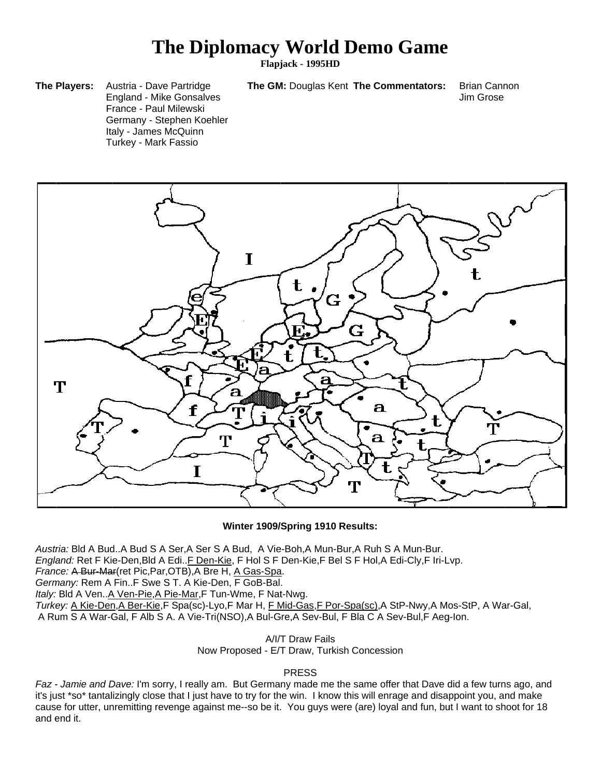## **The Diplomacy World Demo Game**

**Flapj jack - 1995HD D**

**The GM: Douglas Kent The Commentators:** 

Brian Cann non Jim Grose

**The Players:** A England - Mike Gonsalves F rance - Paul Milewski Germany - Stephen Koehler Italy - James McQuinn T urkey - Mark Fassio Austria - Dave Partridge



**W Winter 1909/ /Spring 1910 Results:**

Austria: Bld A Bud..A Bud S A Ser,A Ser S A Bud, A Vie-Boh,A Mun-Bur,A Ruh S A Mun-Bur. *England:* Ret F Kie-Den,Bld A Edi..<u>F Den-Kie</u>, F Hol S F Den-Kie,F Bel S F Hol,A Edi-Cly,F Iri-Lvp. *France:* A Bur-Mar(ret Pic, Par, OTB), A Bre H, A Gas-Spa. Germany: Rem A Fin..F Swe S T. A Kie-Den, F GoB-Bal. *Italy:* Bld A Ven..A Ven-Pie, A Pie-Mar, F Tun-Wme, F Nat-Nwg. Turkey: <u>A Kie-Den,A Ber-Kie</u>,F Spa(sc)-Lyo,F Mar H, <u>F Mid-Gas,F Por-Spa(sc)</u>,A StP-Nwy,A Mos-StP, A War-Gal, A Rum S A War-Gal, F Alb S A. A Vie-Tri(NSO),A Bul-Gre,A Sev-Bul, F Bla C A Sev-Bul,F Aeg-Ion.

> Now Proposed - E/T Draw, Turkish Concession A/I/T T Draw Fails

## **PRESS**

Faz - Jamie and Dave: I'm sorry, I really am. But Germany made me the same offer that Dave did a few turns ago, and it's just \*so\* tantalizingly close that I just have to try for the win. I know this will enrage and disappoint you, and make cause for utter, unremitting revenge against me--so be it. You guys were (are) loyal and fun, but I want to shoot for 18 and e end it.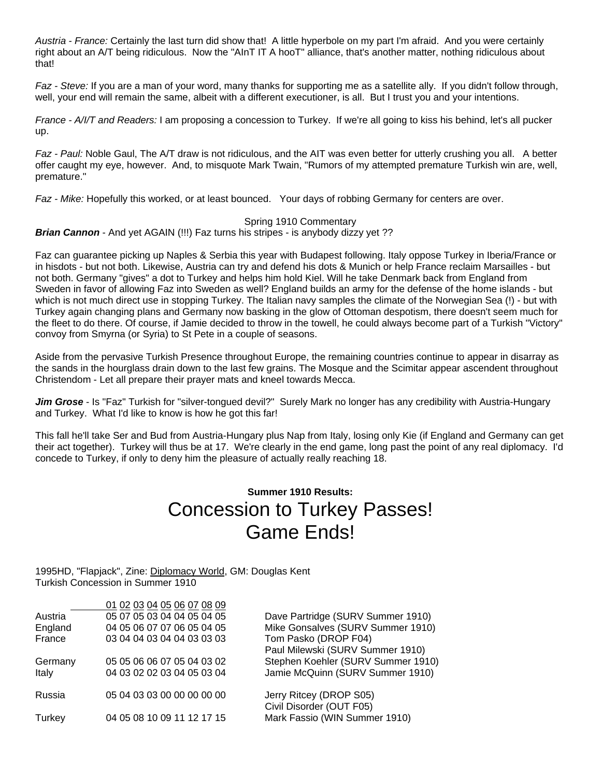*Austria - France:* Certainly the last turn did show that! A little hyperbole on my part I'm afraid. And you were certainly right about an A/T being ridiculous. Now the "AInT IT A hooT" alliance, that's another matter, nothing ridiculous about that!

*Faz - Steve:* If you are a man of your word, many thanks for supporting me as a satellite ally. If you didn't follow through, well, your end will remain the same, albeit with a different executioner, is all. But I trust you and your intentions.

*France - A/I/T and Readers:* I am proposing a concession to Turkey. If we're all going to kiss his behind, let's all pucker up.

*Faz - Paul:* Noble Gaul, The A/T draw is not ridiculous, and the AIT was even better for utterly crushing you all. A better offer caught my eye, however. And, to misquote Mark Twain, "Rumors of my attempted premature Turkish win are, well, premature."

*Faz - Mike:* Hopefully this worked, or at least bounced. Your days of robbing Germany for centers are over.

## Spring 1910 Commentary

*Brian Cannon* - And yet AGAIN (!!!) Faz turns his stripes - is anybody dizzy yet ??

Faz can guarantee picking up Naples & Serbia this year with Budapest following. Italy oppose Turkey in Iberia/France or in hisdots - but not both. Likewise, Austria can try and defend his dots & Munich or help France reclaim Marsailles - but not both. Germany "gives" a dot to Turkey and helps him hold Kiel. Will he take Denmark back from England from Sweden in favor of allowing Faz into Sweden as well? England builds an army for the defense of the home islands - but which is not much direct use in stopping Turkey. The Italian navy samples the climate of the Norwegian Sea (!) - but with Turkey again changing plans and Germany now basking in the glow of Ottoman despotism, there doesn't seem much for the fleet to do there. Of course, if Jamie decided to throw in the towell, he could always become part of a Turkish "Victory" convoy from Smyrna (or Syria) to St Pete in a couple of seasons.

Aside from the pervasive Turkish Presence throughout Europe, the remaining countries continue to appear in disarray as the sands in the hourglass drain down to the last few grains. The Mosque and the Scimitar appear ascendent throughout Christendom - Let all prepare their prayer mats and kneel towards Mecca.

*Jim Grose* - Is "Faz" Turkish for "silver-tongued devil?" Surely Mark no longer has any credibility with Austria-Hungary and Turkey. What I'd like to know is how he got this far!

This fall he'll take Ser and Bud from Austria-Hungary plus Nap from Italy, losing only Kie (if England and Germany can get their act together). Turkey will thus be at 17. We're clearly in the end game, long past the point of any real diplomacy. I'd concede to Turkey, if only to deny him the pleasure of actually really reaching 18.

## **Summer 1910 Results:** Concession to Turkey Passes! Game Ends!

1995HD, "Flapjack", Zine: Diplomacy World, GM: Douglas Kent Turkish Concession in Summer 1910

|         | 01 02 03 04 05 06 07 08 09 |                                    |
|---------|----------------------------|------------------------------------|
| Austria | 05 07 05 03 04 04 05 04 05 | Dave Partridge (SURV Summer 1910)  |
| England | 04 05 06 07 07 06 05 04 05 | Mike Gonsalves (SURV Summer 1910)  |
| France  | 03 04 04 03 04 04 03 03 03 | Tom Pasko (DROP F04)               |
|         |                            | Paul Milewski (SURV Summer 1910)   |
| Germany | 05 05 06 06 07 05 04 03 02 | Stephen Koehler (SURV Summer 1910) |
| Italy   | 04 03 02 02 03 04 05 03 04 | Jamie McQuinn (SURV Summer 1910)   |
| Russia  | 05 04 03 03 00 00 00 00 00 | Jerry Ritcey (DROP S05)            |
|         |                            | Civil Disorder (OUT F05)           |
| Turkey  | 04 05 08 10 09 11 12 17 15 | Mark Fassio (WIN Summer 1910)      |
|         |                            |                                    |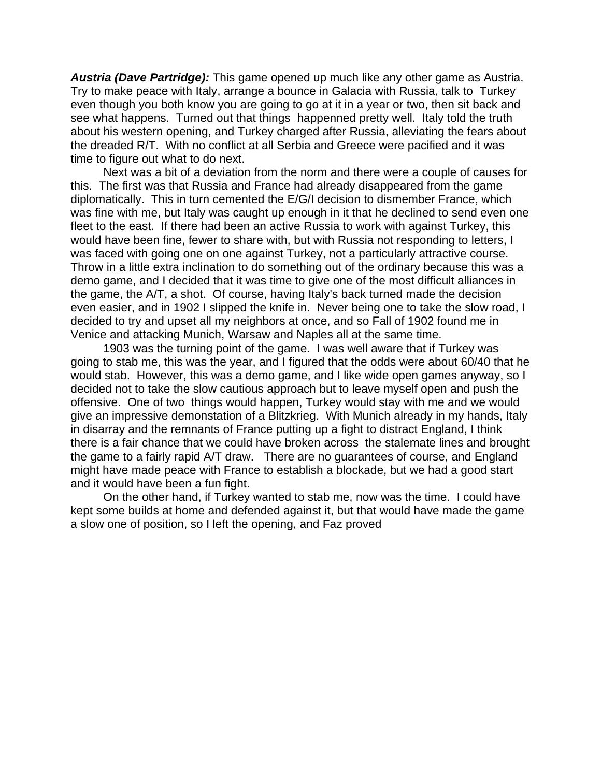*Austria (Dave Partridge):* This game opened up much like any other game as Austria. Try to make peace with Italy, arrange a bounce in Galacia with Russia, talk to Turkey even though you both know you are going to go at it in a year or two, then sit back and see what happens. Turned out that things happenned pretty well. Italy told the truth about his western opening, and Turkey charged after Russia, alleviating the fears about the dreaded R/T. With no conflict at all Serbia and Greece were pacified and it was time to figure out what to do next.

Next was a bit of a deviation from the norm and there were a couple of causes for this. The first was that Russia and France had already disappeared from the game diplomatically. This in turn cemented the E/G/I decision to dismember France, which was fine with me, but Italy was caught up enough in it that he declined to send even one fleet to the east. If there had been an active Russia to work with against Turkey, this would have been fine, fewer to share with, but with Russia not responding to letters, I was faced with going one on one against Turkey, not a particularly attractive course. Throw in a little extra inclination to do something out of the ordinary because this was a demo game, and I decided that it was time to give one of the most difficult alliances in the game, the A/T, a shot. Of course, having Italy's back turned made the decision even easier, and in 1902 I slipped the knife in. Never being one to take the slow road, I decided to try and upset all my neighbors at once, and so Fall of 1902 found me in Venice and attacking Munich, Warsaw and Naples all at the same time.

1903 was the turning point of the game. I was well aware that if Turkey was going to stab me, this was the year, and I figured that the odds were about 60/40 that he would stab. However, this was a demo game, and I like wide open games anyway, so I decided not to take the slow cautious approach but to leave myself open and push the offensive. One of two things would happen, Turkey would stay with me and we would give an impressive demonstation of a Blitzkrieg. With Munich already in my hands, Italy in disarray and the remnants of France putting up a fight to distract England, I think there is a fair chance that we could have broken across the stalemate lines and brought the game to a fairly rapid A/T draw. There are no guarantees of course, and England might have made peace with France to establish a blockade, but we had a good start and it would have been a fun fight.

On the other hand, if Turkey wanted to stab me, now was the time. I could have kept some builds at home and defended against it, but that would have made the game a slow one of position, so I left the opening, and Faz proved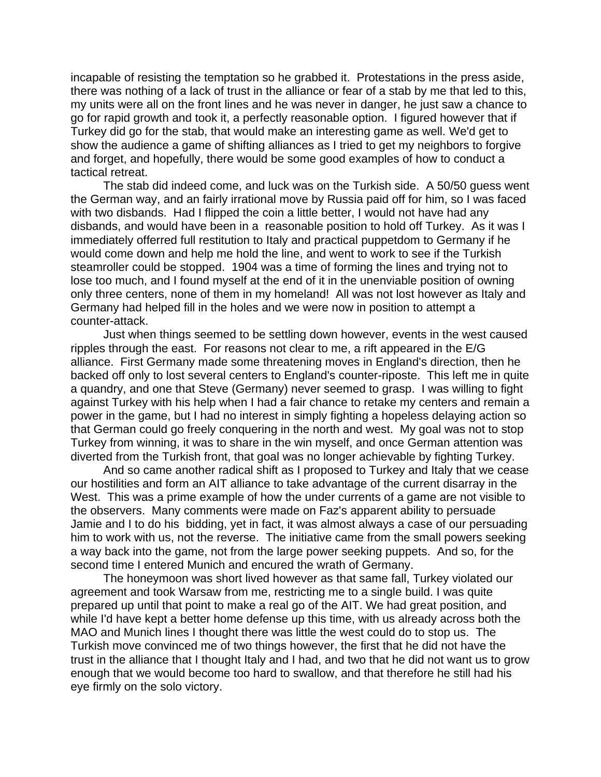incapable of resisting the temptation so he grabbed it. Protestations in the press aside, there was nothing of a lack of trust in the alliance or fear of a stab by me that led to this, my units were all on the front lines and he was never in danger, he just saw a chance to go for rapid growth and took it, a perfectly reasonable option. I figured however that if Turkey did go for the stab, that would make an interesting game as well. We'd get to show the audience a game of shifting alliances as I tried to get my neighbors to forgive and forget, and hopefully, there would be some good examples of how to conduct a tactical retreat.

The stab did indeed come, and luck was on the Turkish side. A 50/50 guess went the German way, and an fairly irrational move by Russia paid off for him, so I was faced with two disbands. Had I flipped the coin a little better, I would not have had any disbands, and would have been in a reasonable position to hold off Turkey. As it was I immediately offerred full restitution to Italy and practical puppetdom to Germany if he would come down and help me hold the line, and went to work to see if the Turkish steamroller could be stopped. 1904 was a time of forming the lines and trying not to lose too much, and I found myself at the end of it in the unenviable position of owning only three centers, none of them in my homeland! All was not lost however as Italy and Germany had helped fill in the holes and we were now in position to attempt a counter-attack.

Just when things seemed to be settling down however, events in the west caused ripples through the east. For reasons not clear to me, a rift appeared in the E/G alliance. First Germany made some threatening moves in England's direction, then he backed off only to lost several centers to England's counter-riposte. This left me in quite a quandry, and one that Steve (Germany) never seemed to grasp. I was willing to fight against Turkey with his help when I had a fair chance to retake my centers and remain a power in the game, but I had no interest in simply fighting a hopeless delaying action so that German could go freely conquering in the north and west. My goal was not to stop Turkey from winning, it was to share in the win myself, and once German attention was diverted from the Turkish front, that goal was no longer achievable by fighting Turkey.

And so came another radical shift as I proposed to Turkey and Italy that we cease our hostilities and form an AIT alliance to take advantage of the current disarray in the West. This was a prime example of how the under currents of a game are not visible to the observers. Many comments were made on Faz's apparent ability to persuade Jamie and I to do his bidding, yet in fact, it was almost always a case of our persuading him to work with us, not the reverse. The initiative came from the small powers seeking a way back into the game, not from the large power seeking puppets. And so, for the second time I entered Munich and encured the wrath of Germany.

The honeymoon was short lived however as that same fall, Turkey violated our agreement and took Warsaw from me, restricting me to a single build. I was quite prepared up until that point to make a real go of the AIT. We had great position, and while I'd have kept a better home defense up this time, with us already across both the MAO and Munich lines I thought there was little the west could do to stop us. The Turkish move convinced me of two things however, the first that he did not have the trust in the alliance that I thought Italy and I had, and two that he did not want us to grow enough that we would become too hard to swallow, and that therefore he still had his eye firmly on the solo victory.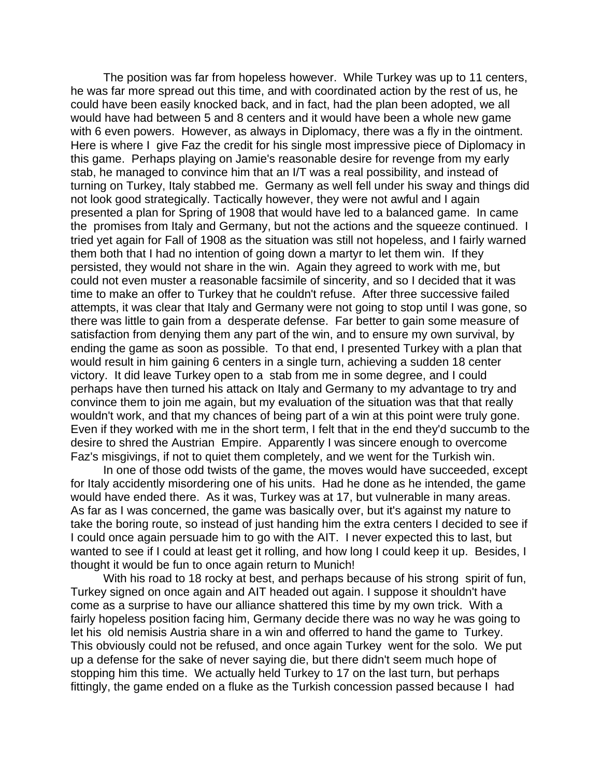The position was far from hopeless however. While Turkey was up to 11 centers, he was far more spread out this time, and with coordinated action by the rest of us, he could have been easily knocked back, and in fact, had the plan been adopted, we all would have had between 5 and 8 centers and it would have been a whole new game with 6 even powers. However, as always in Diplomacy, there was a fly in the ointment. Here is where I give Faz the credit for his single most impressive piece of Diplomacy in this game. Perhaps playing on Jamie's reasonable desire for revenge from my early stab, he managed to convince him that an I/T was a real possibility, and instead of turning on Turkey, Italy stabbed me. Germany as well fell under his sway and things did not look good strategically. Tactically however, they were not awful and I again presented a plan for Spring of 1908 that would have led to a balanced game. In came the promises from Italy and Germany, but not the actions and the squeeze continued. I tried yet again for Fall of 1908 as the situation was still not hopeless, and I fairly warned them both that I had no intention of going down a martyr to let them win. If they persisted, they would not share in the win. Again they agreed to work with me, but could not even muster a reasonable facsimile of sincerity, and so I decided that it was time to make an offer to Turkey that he couldn't refuse. After three successive failed attempts, it was clear that Italy and Germany were not going to stop until I was gone, so there was little to gain from a desperate defense. Far better to gain some measure of satisfaction from denying them any part of the win, and to ensure my own survival, by ending the game as soon as possible. To that end, I presented Turkey with a plan that would result in him gaining 6 centers in a single turn, achieving a sudden 18 center victory. It did leave Turkey open to a stab from me in some degree, and I could perhaps have then turned his attack on Italy and Germany to my advantage to try and convince them to join me again, but my evaluation of the situation was that that really wouldn't work, and that my chances of being part of a win at this point were truly gone. Even if they worked with me in the short term, I felt that in the end they'd succumb to the desire to shred the Austrian Empire. Apparently I was sincere enough to overcome Faz's misgivings, if not to quiet them completely, and we went for the Turkish win.

In one of those odd twists of the game, the moves would have succeeded, except for Italy accidently misordering one of his units. Had he done as he intended, the game would have ended there. As it was, Turkey was at 17, but vulnerable in many areas. As far as I was concerned, the game was basically over, but it's against my nature to take the boring route, so instead of just handing him the extra centers I decided to see if I could once again persuade him to go with the AIT. I never expected this to last, but wanted to see if I could at least get it rolling, and how long I could keep it up. Besides, I thought it would be fun to once again return to Munich!

With his road to 18 rocky at best, and perhaps because of his strong spirit of fun, Turkey signed on once again and AIT headed out again. I suppose it shouldn't have come as a surprise to have our alliance shattered this time by my own trick. With a fairly hopeless position facing him, Germany decide there was no way he was going to let his old nemisis Austria share in a win and offerred to hand the game to Turkey. This obviously could not be refused, and once again Turkey went for the solo. We put up a defense for the sake of never saying die, but there didn't seem much hope of stopping him this time. We actually held Turkey to 17 on the last turn, but perhaps fittingly, the game ended on a fluke as the Turkish concession passed because I had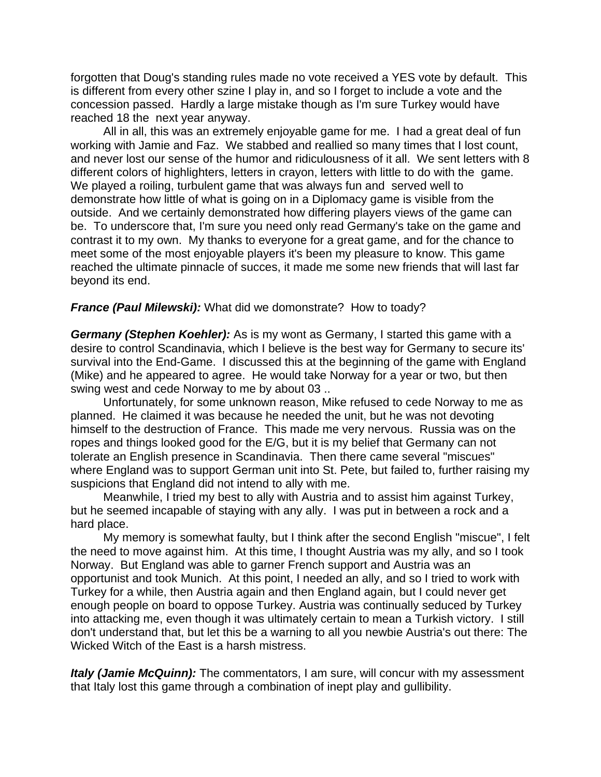forgotten that Doug's standing rules made no vote received a YES vote by default. This is different from every other szine I play in, and so I forget to include a vote and the concession passed. Hardly a large mistake though as I'm sure Turkey would have reached 18 the next year anyway.

All in all, this was an extremely enjoyable game for me. I had a great deal of fun working with Jamie and Faz. We stabbed and reallied so many times that I lost count, and never lost our sense of the humor and ridiculousness of it all. We sent letters with 8 different colors of highlighters, letters in crayon, letters with little to do with the game. We played a roiling, turbulent game that was always fun and served well to demonstrate how little of what is going on in a Diplomacy game is visible from the outside. And we certainly demonstrated how differing players views of the game can be. To underscore that, I'm sure you need only read Germany's take on the game and contrast it to my own. My thanks to everyone for a great game, and for the chance to meet some of the most enjoyable players it's been my pleasure to know. This game reached the ultimate pinnacle of succes, it made me some new friends that will last far beyond its end.

*France (Paul Milewski):* What did we domonstrate? How to toady?

*Germany (Stephen Koehler):* As is my wont as Germany, I started this game with a desire to control Scandinavia, which I believe is the best way for Germany to secure its' survival into the End-Game. I discussed this at the beginning of the game with England (Mike) and he appeared to agree. He would take Norway for a year or two, but then swing west and cede Norway to me by about 03 ..

Unfortunately, for some unknown reason, Mike refused to cede Norway to me as planned. He claimed it was because he needed the unit, but he was not devoting himself to the destruction of France. This made me very nervous. Russia was on the ropes and things looked good for the E/G, but it is my belief that Germany can not tolerate an English presence in Scandinavia. Then there came several "miscues" where England was to support German unit into St. Pete, but failed to, further raising my suspicions that England did not intend to ally with me.

Meanwhile, I tried my best to ally with Austria and to assist him against Turkey, but he seemed incapable of staying with any ally. I was put in between a rock and a hard place.

My memory is somewhat faulty, but I think after the second English "miscue", I felt the need to move against him. At this time, I thought Austria was my ally, and so I took Norway. But England was able to garner French support and Austria was an opportunist and took Munich. At this point, I needed an ally, and so I tried to work with Turkey for a while, then Austria again and then England again, but I could never get enough people on board to oppose Turkey. Austria was continually seduced by Turkey into attacking me, even though it was ultimately certain to mean a Turkish victory. I still don't understand that, but let this be a warning to all you newbie Austria's out there: The Wicked Witch of the East is a harsh mistress.

*Italy (Jamie McQuinn):* The commentators, I am sure, will concur with my assessment that Italy lost this game through a combination of inept play and gullibility.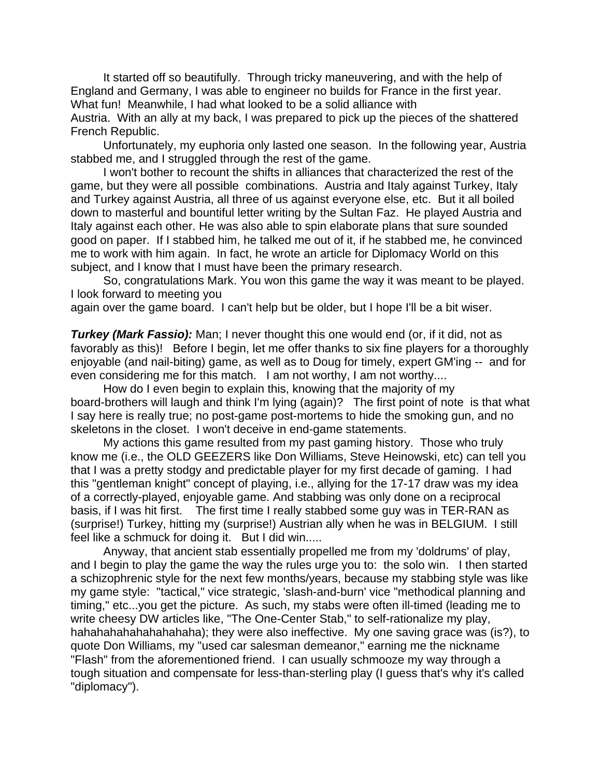It started off so beautifully. Through tricky maneuvering, and with the help of England and Germany, I was able to engineer no builds for France in the first year. What fun! Meanwhile, I had what looked to be a solid alliance with

Austria. With an ally at my back, I was prepared to pick up the pieces of the shattered French Republic.

Unfortunately, my euphoria only lasted one season. In the following year, Austria stabbed me, and I struggled through the rest of the game.

I won't bother to recount the shifts in alliances that characterized the rest of the game, but they were all possible combinations. Austria and Italy against Turkey, Italy and Turkey against Austria, all three of us against everyone else, etc. But it all boiled down to masterful and bountiful letter writing by the Sultan Faz. He played Austria and Italy against each other. He was also able to spin elaborate plans that sure sounded good on paper. If I stabbed him, he talked me out of it, if he stabbed me, he convinced me to work with him again. In fact, he wrote an article for Diplomacy World on this subject, and I know that I must have been the primary research.

So, congratulations Mark. You won this game the way it was meant to be played. I look forward to meeting you

again over the game board. I can't help but be older, but I hope I'll be a bit wiser.

**Turkey (Mark Fassio):** Man; I never thought this one would end (or, if it did, not as favorably as this)! Before I begin, let me offer thanks to six fine players for a thoroughly enjoyable (and nail-biting) game, as well as to Doug for timely, expert GM'ing -- and for even considering me for this match. I am not worthy, I am not worthy....

How do I even begin to explain this, knowing that the majority of my board-brothers will laugh and think I'm lying (again)? The first point of note is that what I say here is really true; no post-game post-mortems to hide the smoking gun, and no skeletons in the closet. I won't deceive in end-game statements.

My actions this game resulted from my past gaming history. Those who truly know me (i.e., the OLD GEEZERS like Don Williams, Steve Heinowski, etc) can tell you that I was a pretty stodgy and predictable player for my first decade of gaming. I had this "gentleman knight" concept of playing, i.e., allying for the 17-17 draw was my idea of a correctly-played, enjoyable game. And stabbing was only done on a reciprocal basis, if I was hit first. The first time I really stabbed some guy was in TER-RAN as (surprise!) Turkey, hitting my (surprise!) Austrian ally when he was in BELGIUM. I still feel like a schmuck for doing it. But I did win.....

Anyway, that ancient stab essentially propelled me from my 'doldrums' of play, and I begin to play the game the way the rules urge you to: the solo win. I then started a schizophrenic style for the next few months/years, because my stabbing style was like my game style: "tactical," vice strategic, 'slash-and-burn' vice "methodical planning and timing," etc...you get the picture. As such, my stabs were often ill-timed (leading me to write cheesy DW articles like, "The One-Center Stab," to self-rationalize my play, hahahahahahahahahaha); they were also ineffective. My one saving grace was (is?), to quote Don Williams, my "used car salesman demeanor," earning me the nickname "Flash" from the aforementioned friend. I can usually schmooze my way through a tough situation and compensate for less-than-sterling play (I guess that's why it's called "diplomacy").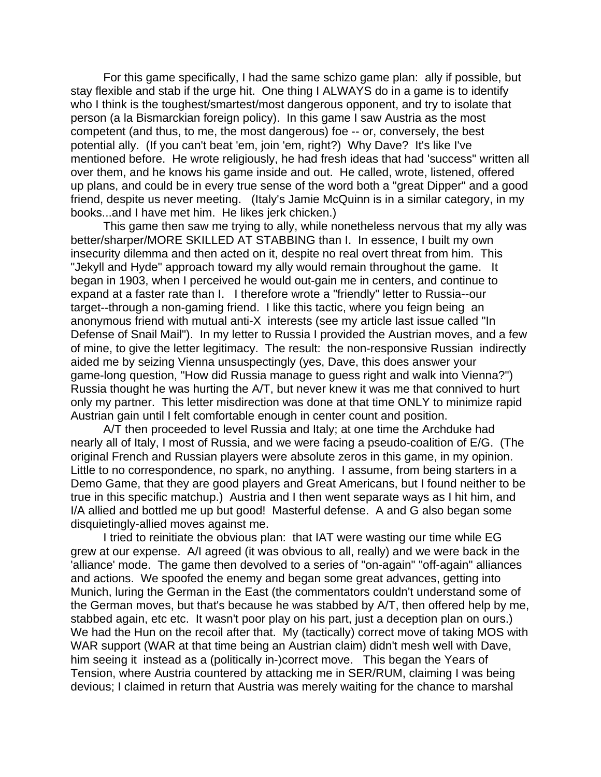For this game specifically, I had the same schizo game plan: ally if possible, but stay flexible and stab if the urge hit. One thing I ALWAYS do in a game is to identify who I think is the toughest/smartest/most dangerous opponent, and try to isolate that person (a la Bismarckian foreign policy). In this game I saw Austria as the most competent (and thus, to me, the most dangerous) foe -- or, conversely, the best potential ally. (If you can't beat 'em, join 'em, right?) Why Dave? It's like I've mentioned before. He wrote religiously, he had fresh ideas that had 'success" written all over them, and he knows his game inside and out. He called, wrote, listened, offered up plans, and could be in every true sense of the word both a "great Dipper" and a good friend, despite us never meeting. (Italy's Jamie McQuinn is in a similar category, in my books...and I have met him. He likes jerk chicken.)

This game then saw me trying to ally, while nonetheless nervous that my ally was better/sharper/MORE SKILLED AT STABBING than I. In essence, I built my own insecurity dilemma and then acted on it, despite no real overt threat from him. This "Jekyll and Hyde" approach toward my ally would remain throughout the game. It began in 1903, when I perceived he would out-gain me in centers, and continue to expand at a faster rate than I. I therefore wrote a "friendly" letter to Russia--our target--through a non-gaming friend. I like this tactic, where you feign being an anonymous friend with mutual anti-X interests (see my article last issue called "In Defense of Snail Mail"). In my letter to Russia I provided the Austrian moves, and a few of mine, to give the letter legitimacy. The result: the non-responsive Russian indirectly aided me by seizing Vienna unsuspectingly (yes, Dave, this does answer your game-long question, "How did Russia manage to guess right and walk into Vienna?") Russia thought he was hurting the A/T, but never knew it was me that connived to hurt only my partner. This letter misdirection was done at that time ONLY to minimize rapid Austrian gain until I felt comfortable enough in center count and position.

A/T then proceeded to level Russia and Italy; at one time the Archduke had nearly all of Italy, I most of Russia, and we were facing a pseudo-coalition of E/G. (The original French and Russian players were absolute zeros in this game, in my opinion. Little to no correspondence, no spark, no anything. I assume, from being starters in a Demo Game, that they are good players and Great Americans, but I found neither to be true in this specific matchup.) Austria and I then went separate ways as I hit him, and I/A allied and bottled me up but good! Masterful defense. A and G also began some disquietingly-allied moves against me.

I tried to reinitiate the obvious plan: that IAT were wasting our time while EG grew at our expense. A/I agreed (it was obvious to all, really) and we were back in the 'alliance' mode. The game then devolved to a series of "on-again" "off-again" alliances and actions. We spoofed the enemy and began some great advances, getting into Munich, luring the German in the East (the commentators couldn't understand some of the German moves, but that's because he was stabbed by A/T, then offered help by me, stabbed again, etc etc. It wasn't poor play on his part, just a deception plan on ours.) We had the Hun on the recoil after that. My (tactically) correct move of taking MOS with WAR support (WAR at that time being an Austrian claim) didn't mesh well with Dave, him seeing it instead as a (politically in-)correct move. This began the Years of Tension, where Austria countered by attacking me in SER/RUM, claiming I was being devious; I claimed in return that Austria was merely waiting for the chance to marshal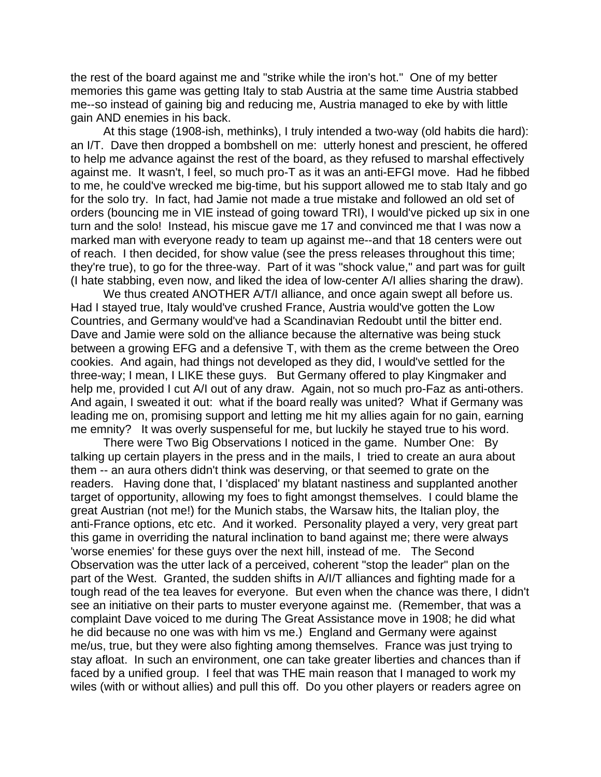the rest of the board against me and "strike while the iron's hot." One of my better memories this game was getting Italy to stab Austria at the same time Austria stabbed me--so instead of gaining big and reducing me, Austria managed to eke by with little gain AND enemies in his back.

At this stage (1908-ish, methinks), I truly intended a two-way (old habits die hard): an I/T. Dave then dropped a bombshell on me: utterly honest and prescient, he offered to help me advance against the rest of the board, as they refused to marshal effectively against me. It wasn't, I feel, so much pro-T as it was an anti-EFGI move. Had he fibbed to me, he could've wrecked me big-time, but his support allowed me to stab Italy and go for the solo try. In fact, had Jamie not made a true mistake and followed an old set of orders (bouncing me in VIE instead of going toward TRI), I would've picked up six in one turn and the solo! Instead, his miscue gave me 17 and convinced me that I was now a marked man with everyone ready to team up against me--and that 18 centers were out of reach. I then decided, for show value (see the press releases throughout this time; they're true), to go for the three-way. Part of it was "shock value," and part was for guilt (I hate stabbing, even now, and liked the idea of low-center A/I allies sharing the draw).

We thus created ANOTHER A/T/I alliance, and once again swept all before us. Had I stayed true, Italy would've crushed France, Austria would've gotten the Low Countries, and Germany would've had a Scandinavian Redoubt until the bitter end. Dave and Jamie were sold on the alliance because the alternative was being stuck between a growing EFG and a defensive T, with them as the creme between the Oreo cookies. And again, had things not developed as they did, I would've settled for the three-way; I mean, I LIKE these guys. But Germany offered to play Kingmaker and help me, provided I cut A/I out of any draw. Again, not so much pro-Faz as anti-others. And again, I sweated it out: what if the board really was united? What if Germany was leading me on, promising support and letting me hit my allies again for no gain, earning me emnity? It was overly suspenseful for me, but luckily he stayed true to his word.

There were Two Big Observations I noticed in the game. Number One: By talking up certain players in the press and in the mails, I tried to create an aura about them -- an aura others didn't think was deserving, or that seemed to grate on the readers. Having done that, I 'displaced' my blatant nastiness and supplanted another target of opportunity, allowing my foes to fight amongst themselves. I could blame the great Austrian (not me!) for the Munich stabs, the Warsaw hits, the Italian ploy, the anti-France options, etc etc. And it worked. Personality played a very, very great part this game in overriding the natural inclination to band against me; there were always 'worse enemies' for these guys over the next hill, instead of me. The Second Observation was the utter lack of a perceived, coherent "stop the leader" plan on the part of the West. Granted, the sudden shifts in A/I/T alliances and fighting made for a tough read of the tea leaves for everyone. But even when the chance was there, I didn't see an initiative on their parts to muster everyone against me. (Remember, that was a complaint Dave voiced to me during The Great Assistance move in 1908; he did what he did because no one was with him vs me.) England and Germany were against me/us, true, but they were also fighting among themselves. France was just trying to stay afloat. In such an environment, one can take greater liberties and chances than if faced by a unified group. I feel that was THE main reason that I managed to work my wiles (with or without allies) and pull this off. Do you other players or readers agree on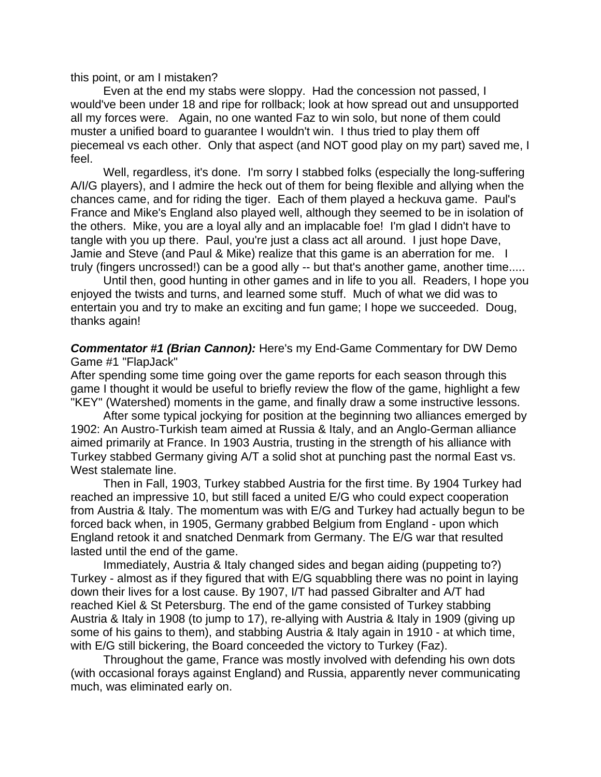this point, or am I mistaken?

Even at the end my stabs were sloppy. Had the concession not passed, I would've been under 18 and ripe for rollback; look at how spread out and unsupported all my forces were. Again, no one wanted Faz to win solo, but none of them could muster a unified board to guarantee I wouldn't win. I thus tried to play them off piecemeal vs each other. Only that aspect (and NOT good play on my part) saved me, I feel.

Well, regardless, it's done. I'm sorry I stabbed folks (especially the long-suffering A/I/G players), and I admire the heck out of them for being flexible and allying when the chances came, and for riding the tiger. Each of them played a heckuva game. Paul's France and Mike's England also played well, although they seemed to be in isolation of the others. Mike, you are a loyal ally and an implacable foe! I'm glad I didn't have to tangle with you up there. Paul, you're just a class act all around. I just hope Dave, Jamie and Steve (and Paul & Mike) realize that this game is an aberration for me. I truly (fingers uncrossed!) can be a good ally -- but that's another game, another time.....

Until then, good hunting in other games and in life to you all. Readers, I hope you enjoyed the twists and turns, and learned some stuff. Much of what we did was to entertain you and try to make an exciting and fun game; I hope we succeeded. Doug, thanks again!

*Commentator #1 (Brian Cannon):* Here's my End-Game Commentary for DW Demo Game #1 "FlapJack"

After spending some time going over the game reports for each season through this game I thought it would be useful to briefly review the flow of the game, highlight a few "KEY" (Watershed) moments in the game, and finally draw a some instructive lessons.

After some typical jockying for position at the beginning two alliances emerged by 1902: An Austro-Turkish team aimed at Russia & Italy, and an Anglo-German alliance aimed primarily at France. In 1903 Austria, trusting in the strength of his alliance with Turkey stabbed Germany giving A/T a solid shot at punching past the normal East vs. West stalemate line.

Then in Fall, 1903, Turkey stabbed Austria for the first time. By 1904 Turkey had reached an impressive 10, but still faced a united E/G who could expect cooperation from Austria & Italy. The momentum was with E/G and Turkey had actually begun to be forced back when, in 1905, Germany grabbed Belgium from England - upon which England retook it and snatched Denmark from Germany. The E/G war that resulted lasted until the end of the game.

Immediately, Austria & Italy changed sides and began aiding (puppeting to?) Turkey - almost as if they figured that with E/G squabbling there was no point in laying down their lives for a lost cause. By 1907, I/T had passed Gibralter and A/T had reached Kiel & St Petersburg. The end of the game consisted of Turkey stabbing Austria & Italy in 1908 (to jump to 17), re-allying with Austria & Italy in 1909 (giving up some of his gains to them), and stabbing Austria & Italy again in 1910 - at which time, with E/G still bickering, the Board conceeded the victory to Turkey (Faz).

Throughout the game, France was mostly involved with defending his own dots (with occasional forays against England) and Russia, apparently never communicating much, was eliminated early on.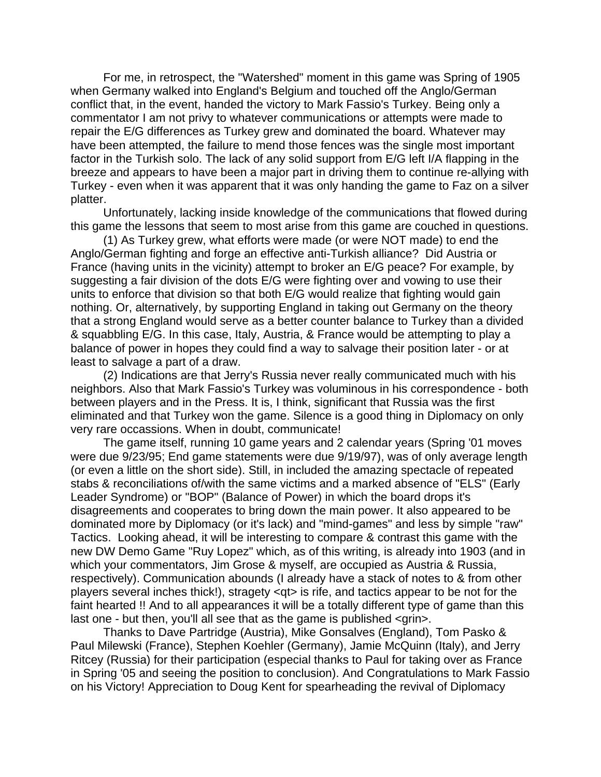For me, in retrospect, the "Watershed" moment in this game was Spring of 1905 when Germany walked into England's Belgium and touched off the Anglo/German conflict that, in the event, handed the victory to Mark Fassio's Turkey. Being only a commentator I am not privy to whatever communications or attempts were made to repair the E/G differences as Turkey grew and dominated the board. Whatever may have been attempted, the failure to mend those fences was the single most important factor in the Turkish solo. The lack of any solid support from E/G left I/A flapping in the breeze and appears to have been a major part in driving them to continue re-allying with Turkey - even when it was apparent that it was only handing the game to Faz on a silver platter.

Unfortunately, lacking inside knowledge of the communications that flowed during this game the lessons that seem to most arise from this game are couched in questions.

(1) As Turkey grew, what efforts were made (or were NOT made) to end the Anglo/German fighting and forge an effective anti-Turkish alliance? Did Austria or France (having units in the vicinity) attempt to broker an E/G peace? For example, by suggesting a fair division of the dots E/G were fighting over and vowing to use their units to enforce that division so that both E/G would realize that fighting would gain nothing. Or, alternatively, by supporting England in taking out Germany on the theory that a strong England would serve as a better counter balance to Turkey than a divided & squabbling E/G. In this case, Italy, Austria, & France would be attempting to play a balance of power in hopes they could find a way to salvage their position later - or at least to salvage a part of a draw.

(2) Indications are that Jerry's Russia never really communicated much with his neighbors. Also that Mark Fassio's Turkey was voluminous in his correspondence - both between players and in the Press. It is, I think, significant that Russia was the first eliminated and that Turkey won the game. Silence is a good thing in Diplomacy on only very rare occassions. When in doubt, communicate!

The game itself, running 10 game years and 2 calendar years (Spring '01 moves were due 9/23/95; End game statements were due 9/19/97), was of only average length (or even a little on the short side). Still, in included the amazing spectacle of repeated stabs & reconciliations of/with the same victims and a marked absence of "ELS" (Early Leader Syndrome) or "BOP" (Balance of Power) in which the board drops it's disagreements and cooperates to bring down the main power. It also appeared to be dominated more by Diplomacy (or it's lack) and "mind-games" and less by simple "raw" Tactics. Looking ahead, it will be interesting to compare & contrast this game with the new DW Demo Game "Ruy Lopez" which, as of this writing, is already into 1903 (and in which your commentators, Jim Grose & myself, are occupied as Austria & Russia, respectively). Communication abounds (I already have a stack of notes to & from other players several inches thick!), stragety <qt> is rife, and tactics appear to be not for the faint hearted !! And to all appearances it will be a totally different type of game than this last one - but then, you'll all see that as the game is published <grin>.

Thanks to Dave Partridge (Austria), Mike Gonsalves (England), Tom Pasko & Paul Milewski (France), Stephen Koehler (Germany), Jamie McQuinn (Italy), and Jerry Ritcey (Russia) for their participation (especial thanks to Paul for taking over as France in Spring '05 and seeing the position to conclusion). And Congratulations to Mark Fassio on his Victory! Appreciation to Doug Kent for spearheading the revival of Diplomacy